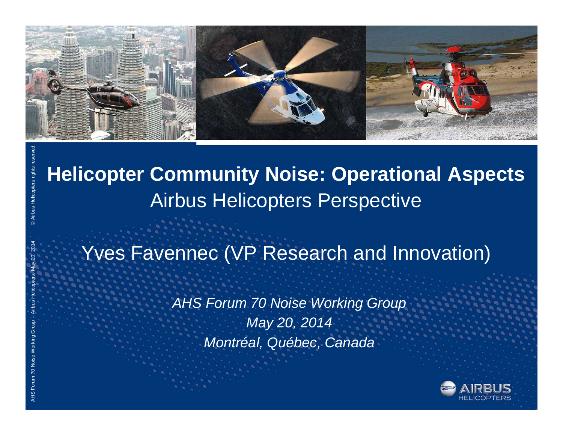

# **Helicopter Community Noise: Operational Aspects** Airbus Helicopters Perspective

# Yves Favennec (VP Research and Innovation)

*AHS Forum 70 Noise Working Group May 20, 2014 Montréal, Québec, Canada*

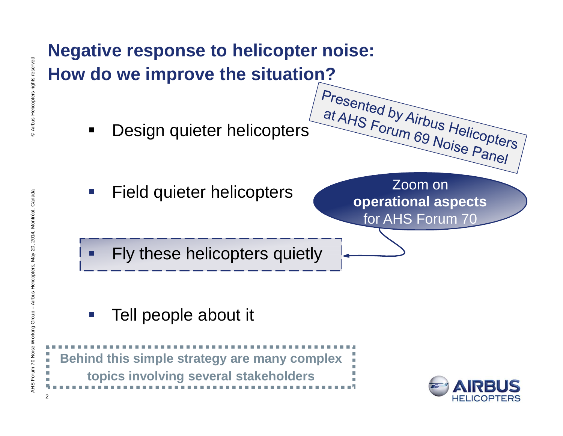

Tell people about it



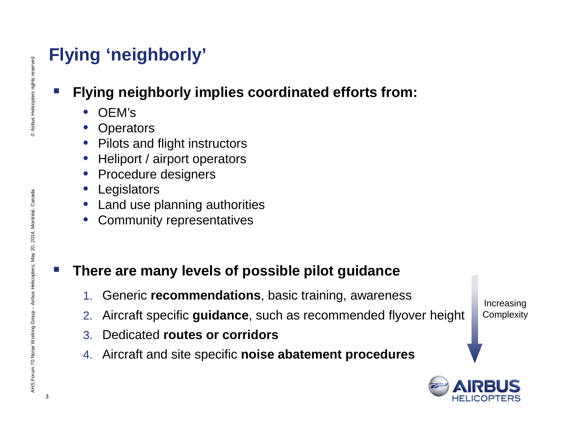## **Flying 'neighborly'**

## **Flying neighborly implies coordinated efforts from:**

- OEM's
- **Operators**
- Pilots and flight instructors
- Heliport / airport operators
- Procedure designers
- **Legislators**
- Land use planning authorities
- Community representatives

### **There are many levels of possible pilot guidance**

- 1. Generic **recommendations**, basic training, awareness
- 2. Aircraft specific **guidance**, such as recommended flyover height
- 3. Dedicated **routes or corridors**
- 4. Aircraft and site specific **noise abatement procedures**

Increasing **Complexity** 

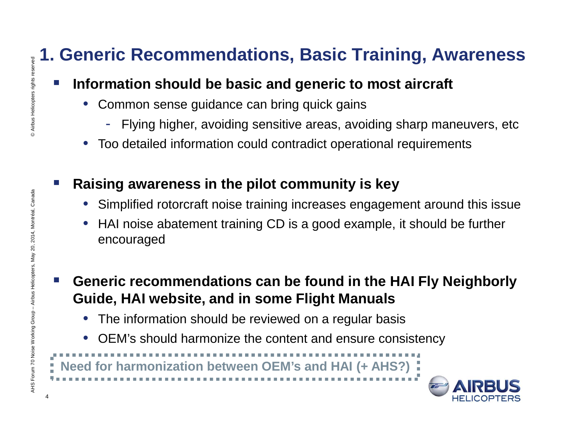## **1. Generic Recommendations, Basic Training, Awareness**

### **Information should be basic and generic to most aircraft**

- Common sense guidance can bring quick gains
	- Flying higher, avoiding sensitive areas, avoiding sharp maneuvers, etc
- Too detailed information could contradict operational requirements

### **Raising awareness in the pilot community is key**

- Simplified rotorcraft noise training increases engagement around this issue
- HAI noise abatement training CD is a good example, it should be further encouraged
- **Generic recommendations can be found in the HAI Fly Neighborly Guide, HAI website, and in some Flight Manuals**
	- The information should be reviewed on a regular basis
	- OEM's should harmonize the content and ensure consistency

**Need for harmonization between OEM's and HAI (+ AHS?)**

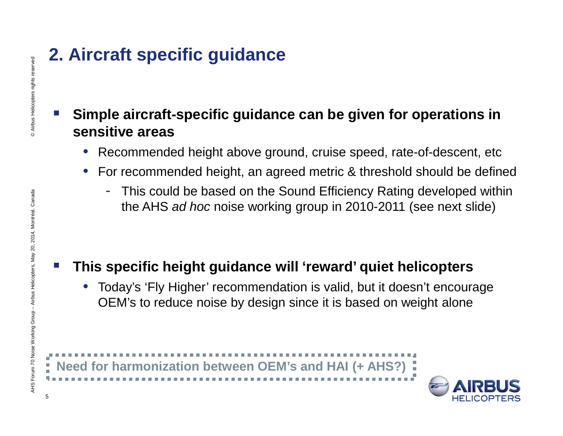## **2. Aircraft specific guidance**

### **Simple aircraft-specific guidance can be given for operations in sensitive areas**

- Recommended height above ground, cruise speed, rate-of-descent, etc
- For recommended height, an agreed metric & threshold should be defined
	- This could be based on the Sound Efficiency Rating developed within the AHS *ad hoc* noise working group in 2010-2011 (see next slide)

## **This specific height guidance will 'reward' quiet helicopters**

• Today's 'Fly Higher' recommendation is valid, but it doesn't encourage OEM's to reduce noise by design since it is based on weight alone

**Need for harmonization between OEM's and HAI (+ AHS?)**



5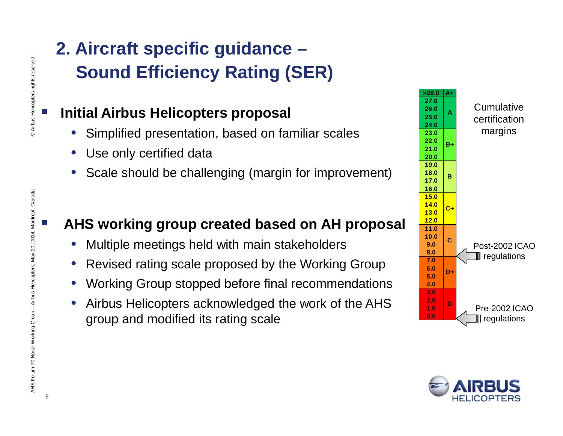## **2. Aircraft specific guidance – Sound Efficiency Rating (SER)**

### **Initial Airbus Helicopters proposal**

- Simplified presentation, based on familiar scales
- Use only certified data
- Scale should be challenging (margin for improvement)

#### **AHS working group created based on AH proposal**

- Multiple meetings held with main stakeholders
- Revised rating scale proposed by the Working Group
- Working Group stopped before final recommendations
- Airbus Helicopters acknowledged the work of the AHS group and modified its rating scale

| >28.0 | A+      |                          |
|-------|---------|--------------------------|
| 27.0  | A       |                          |
| 26.0  |         | Cumulative               |
| 25.0  |         | certification            |
| 24.0  |         |                          |
| 23.0  |         | margins                  |
| 22.0  | $B+$    |                          |
| 21.0  |         |                          |
| 20.0  |         |                          |
| 19.0  |         |                          |
| 18.0  | в       |                          |
| 17.0  |         |                          |
| 16.0  |         |                          |
| 15.0  |         |                          |
| 14.0  | $c_{+}$ |                          |
| 13.0  |         |                          |
| 12.0  |         |                          |
| 11.0  |         |                          |
| 10.0  | Ć       |                          |
| 9.0   |         | <b>Post-2002 ICAO</b>    |
| 8.0   |         | $\llbracket$ regulations |
| 7.0   |         |                          |
| 6.0   | D+      |                          |
| 5.0   |         |                          |
| 4.0   |         |                          |
| 3.0   |         |                          |
| 2.0   | D       |                          |
| 1.0   |         | <b>Pre-2002 ICAO</b>     |
| 0.0   |         | $\llbracket$ regulations |

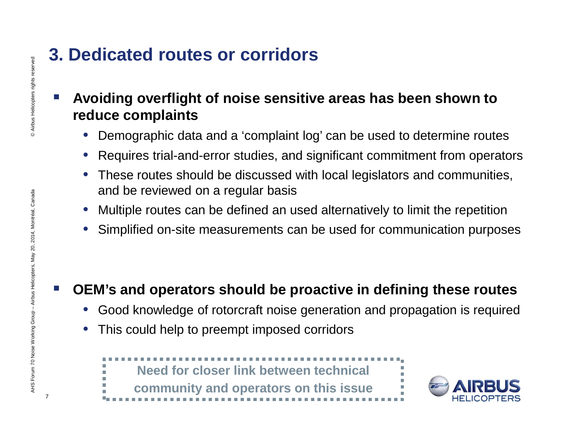## **3. Dedicated routes or corridors**

### **Avoiding overflight of noise sensitive areas has been shown to reduce complaints**

- Demographic data and a 'complaint log' can be used to determine routes
- Requires trial-and-error studies, and significant commitment from operators
- These routes should be discussed with local legislators and communities, and be reviewed on a regular basis
- Multiple routes can be defined an used alternatively to limit the repetition
- Simplified on-site measurements can be used for communication purposes

## **OEM's and operators should be proactive in defining these routes**

- Good knowledge of rotorcraft noise generation and propagation is required
- This could help to preempt imposed corridors





7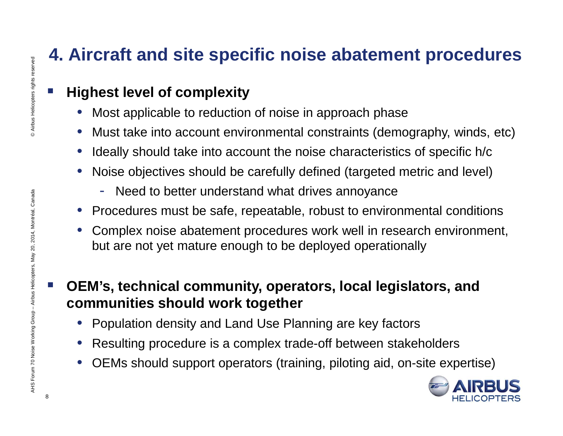## **4. Aircraft and site specific noise abatement procedures**

## **Highest level of complexity**

- Most applicable to reduction of noise in approach phase
- Must take into account environmental constraints (demography, winds, etc)
- Ideally should take into account the noise characteristics of specific h/c
- Noise objectives should be carefully defined (targeted metric and level)
	- Need to better understand what drives annoyance
- Procedures must be safe, repeatable, robust to environmental conditions
- Complex noise abatement procedures work well in research environment, but are not yet mature enough to be deployed operationally
- **OEM's, technical community, operators, local legislators, and communities should work together**
	- Population density and Land Use Planning are key factors
	- Resulting procedure is a complex trade-off between stakeholders
	- OEMs should support operators (training, piloting aid, on-site expertise)

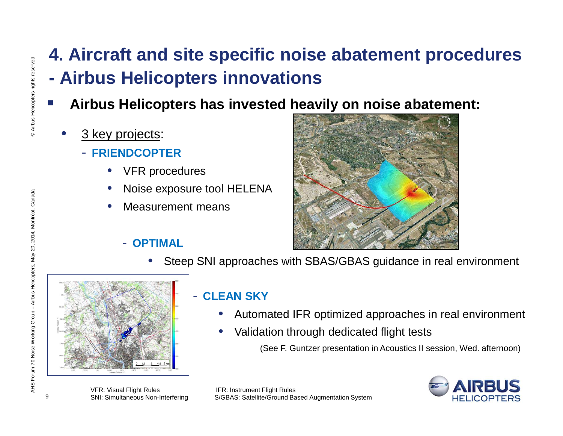## **4. Aircraft and site specific noise abatement procedures - Airbus Helicopters innovations**

- **Airbus Helicopters has invested heavily on noise abatement:**
	- 3 key projects:
		- **FRIENDCOPTER**
			- **VFR** procedures
			- Noise exposure tool HELENA
			- Measurement means



- **OPTIMAL**
	- Steep SNI approaches with SBAS/GBAS guidance in real environment



#### - **CLEAN SKY**

- Automated IFR optimized approaches in real environment
- Validation through dedicated flight tests

(See F. Guntzer presentation in Acoustics II session, Wed. afternoon)



VFR: Visual Flight Rules IFR: Instrument Flight Rules SNI: Simultaneous Non-Interfering S/GBAS: Satellite/Ground Based Augmentation System